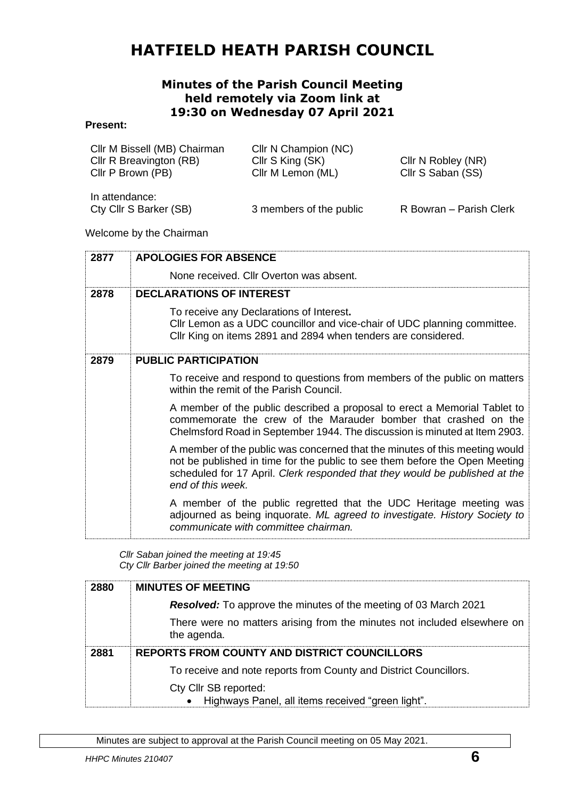# **HATFIELD HEATH PARISH COUNCIL**

#### **Minutes of the Parish Council Meeting held remotely via Zoom link at 19:30 on Wednesday 07 April 2021**

#### **Present:**

| Cllr M Bissell (MB) Chairman | Cllr N Champion (NC)    |                         |
|------------------------------|-------------------------|-------------------------|
| Cllr R Breavington (RB)      | Cllr S King (SK)        | Cllr N Robley (NR)      |
| Cllr P Brown (PB)            | Cllr M Lemon (ML)       | Cllr S Saban (SS)       |
| In attendance:               |                         |                         |
| Cty Cllr S Barker (SB)       | 3 members of the public | R Bowran - Parish Clerk |

Welcome by the Chairman

| 2877 | <b>APOLOGIES FOR ABSENCE</b>                                                                                                                                                                                                                                   |
|------|----------------------------------------------------------------------------------------------------------------------------------------------------------------------------------------------------------------------------------------------------------------|
|      | None received. Cllr Overton was absent.                                                                                                                                                                                                                        |
| 2878 | <b>DECLARATIONS OF INTEREST</b>                                                                                                                                                                                                                                |
|      | To receive any Declarations of Interest.<br>CIIr Lemon as a UDC councillor and vice-chair of UDC planning committee.<br>Cllr King on items 2891 and 2894 when tenders are considered.                                                                          |
| 2879 | <b>PUBLIC PARTICIPATION</b>                                                                                                                                                                                                                                    |
|      | To receive and respond to questions from members of the public on matters<br>within the remit of the Parish Council.                                                                                                                                           |
|      | A member of the public described a proposal to erect a Memorial Tablet to<br>commemorate the crew of the Marauder bomber that crashed on the<br>Chelmsford Road in September 1944. The discussion is minuted at Item 2903.                                     |
|      | A member of the public was concerned that the minutes of this meeting would<br>not be published in time for the public to see them before the Open Meeting<br>scheduled for 17 April. Clerk responded that they would be published at the<br>end of this week. |
|      | A member of the public regretted that the UDC Heritage meeting was<br>adjourned as being inquorate. ML agreed to investigate. History Society to<br>communicate with committee chairman.                                                                       |

*Cllr Saban joined the meeting at 19:45 Cty Cllr Barber joined the meeting at 19:50*

| 2880 | <b>MINUTES OF MEETING</b>                                                               |
|------|-----------------------------------------------------------------------------------------|
|      | <b>Resolved:</b> To approve the minutes of the meeting of 03 March 2021                 |
|      | There were no matters arising from the minutes not included elsewhere on<br>the agenda. |
| 2881 | <b>REPORTS FROM COUNTY AND DISTRICT COUNCILLORS</b>                                     |
|      | To receive and note reports from County and District Councillors.                       |
|      | Cty Cllr SB reported:<br>Highways Panel, all items received "green light".              |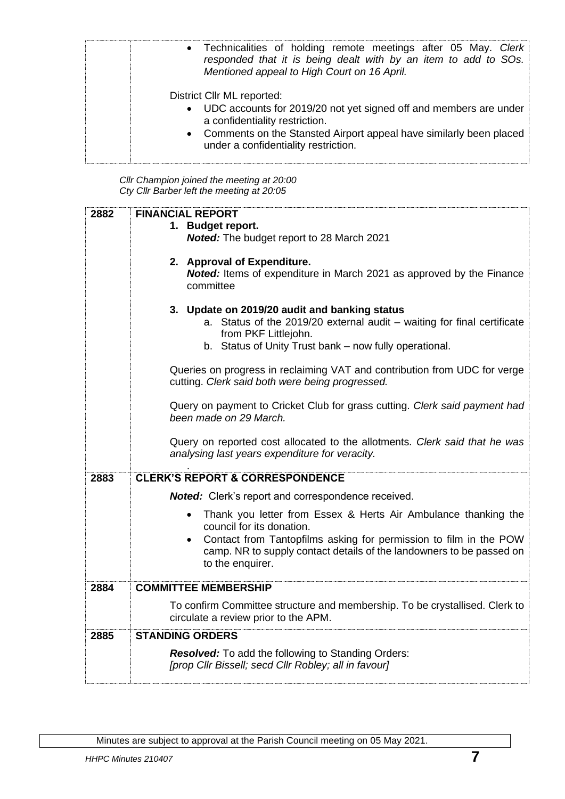| • Technicalities of holding remote meetings after 05 May. Clerk<br>responded that it is being dealt with by an item to add to SOs.<br>Mentioned appeal to High Court on 16 April.                                                                   |
|-----------------------------------------------------------------------------------------------------------------------------------------------------------------------------------------------------------------------------------------------------|
| District Cllr ML reported:<br>• UDC accounts for 2019/20 not yet signed off and members are under<br>a confidentiality restriction.<br>• Comments on the Stansted Airport appeal have similarly been placed<br>under a confidentiality restriction. |

*Cllr Champion joined the meeting at 20:00 Cty Cllr Barber left the meeting at 20:05*

| 2882 | <b>FINANCIAL REPORT</b><br>1. Budget report.<br><b>Noted:</b> The budget report to 28 March 2021<br>2. Approval of Expenditure.<br>Noted: Items of expenditure in March 2021 as approved by the Finance<br>committee<br>3. Update on 2019/20 audit and banking status<br>a. Status of the 2019/20 external audit - waiting for final certificate<br>from PKF Littlejohn.<br>b. Status of Unity Trust bank - now fully operational.<br>Queries on progress in reclaiming VAT and contribution from UDC for verge<br>cutting. Clerk said both were being progressed.<br>Query on payment to Cricket Club for grass cutting. Clerk said payment had<br>been made on 29 March. |
|------|----------------------------------------------------------------------------------------------------------------------------------------------------------------------------------------------------------------------------------------------------------------------------------------------------------------------------------------------------------------------------------------------------------------------------------------------------------------------------------------------------------------------------------------------------------------------------------------------------------------------------------------------------------------------------|
|      | Query on reported cost allocated to the allotments. Clerk said that he was<br>analysing last years expenditure for veracity.                                                                                                                                                                                                                                                                                                                                                                                                                                                                                                                                               |
| 2883 | <b>CLERK'S REPORT &amp; CORRESPONDENCE</b>                                                                                                                                                                                                                                                                                                                                                                                                                                                                                                                                                                                                                                 |
|      | <b>Noted:</b> Clerk's report and correspondence received.                                                                                                                                                                                                                                                                                                                                                                                                                                                                                                                                                                                                                  |
|      | Thank you letter from Essex & Herts Air Ambulance thanking the<br>council for its donation.<br>Contact from Tantopfilms asking for permission to film in the POW<br>$\bullet$<br>camp. NR to supply contact details of the landowners to be passed on<br>to the enquirer.                                                                                                                                                                                                                                                                                                                                                                                                  |
| 2884 | <b>COMMITTEE MEMBERSHIP</b>                                                                                                                                                                                                                                                                                                                                                                                                                                                                                                                                                                                                                                                |
|      | To confirm Committee structure and membership. To be crystallised. Clerk to<br>circulate a review prior to the APM.                                                                                                                                                                                                                                                                                                                                                                                                                                                                                                                                                        |
| 2885 | <b>STANDING ORDERS</b>                                                                                                                                                                                                                                                                                                                                                                                                                                                                                                                                                                                                                                                     |
|      | <b>Resolved:</b> To add the following to Standing Orders:<br>[prop Cllr Bissell; secd Cllr Robley; all in favour]                                                                                                                                                                                                                                                                                                                                                                                                                                                                                                                                                          |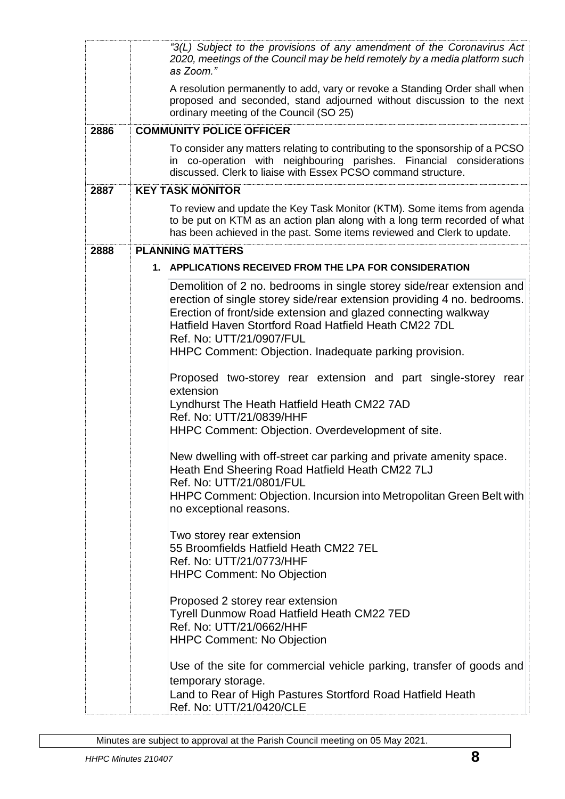|      | "3(L) Subject to the provisions of any amendment of the Coronavirus Act<br>2020, meetings of the Council may be held remotely by a media platform such<br>as Zoom."                                                                                                                                                                                               |  |  |
|------|-------------------------------------------------------------------------------------------------------------------------------------------------------------------------------------------------------------------------------------------------------------------------------------------------------------------------------------------------------------------|--|--|
|      | A resolution permanently to add, vary or revoke a Standing Order shall when<br>proposed and seconded, stand adjourned without discussion to the next<br>ordinary meeting of the Council (SO 25)                                                                                                                                                                   |  |  |
| 2886 | <b>COMMUNITY POLICE OFFICER</b>                                                                                                                                                                                                                                                                                                                                   |  |  |
|      | To consider any matters relating to contributing to the sponsorship of a PCSO<br>in co-operation with neighbouring parishes. Financial considerations<br>discussed. Clerk to liaise with Essex PCSO command structure.                                                                                                                                            |  |  |
| 2887 | <b>KEY TASK MONITOR</b>                                                                                                                                                                                                                                                                                                                                           |  |  |
|      | To review and update the Key Task Monitor (KTM). Some items from agenda<br>to be put on KTM as an action plan along with a long term recorded of what<br>has been achieved in the past. Some items reviewed and Clerk to update.                                                                                                                                  |  |  |
| 2888 | <b>PLANNING MATTERS</b>                                                                                                                                                                                                                                                                                                                                           |  |  |
|      | APPLICATIONS RECEIVED FROM THE LPA FOR CONSIDERATION<br>1.                                                                                                                                                                                                                                                                                                        |  |  |
|      | Demolition of 2 no. bedrooms in single storey side/rear extension and<br>erection of single storey side/rear extension providing 4 no. bedrooms.<br>Erection of front/side extension and glazed connecting walkway<br>Hatfield Haven Stortford Road Hatfield Heath CM22 7DL<br>Ref. No: UTT/21/0907/FUL<br>HHPC Comment: Objection. Inadequate parking provision. |  |  |
|      | Proposed two-storey rear extension and part single-storey rear<br>extension<br>Lyndhurst The Heath Hatfield Heath CM22 7AD<br>Ref. No: UTT/21/0839/HHF<br>HHPC Comment: Objection. Overdevelopment of site.                                                                                                                                                       |  |  |
|      | New dwelling with off-street car parking and private amenity space.<br>Heath End Sheering Road Hatfield Heath CM22 7LJ<br>Ref. No: UTT/21/0801/FUL<br>HHPC Comment: Objection. Incursion into Metropolitan Green Belt with<br>no exceptional reasons.                                                                                                             |  |  |
|      | Two storey rear extension<br>55 Broomfields Hatfield Heath CM22 7EL<br>Ref. No: UTT/21/0773/HHF<br><b>HHPC Comment: No Objection</b>                                                                                                                                                                                                                              |  |  |
|      | Proposed 2 storey rear extension<br>Tyrell Dunmow Road Hatfield Heath CM22 7ED<br>Ref. No: UTT/21/0662/HHF<br><b>HHPC Comment: No Objection</b>                                                                                                                                                                                                                   |  |  |
|      | Use of the site for commercial vehicle parking, transfer of goods and<br>temporary storage.<br>Land to Rear of High Pastures Stortford Road Hatfield Heath<br>Ref. No: UTT/21/0420/CLE                                                                                                                                                                            |  |  |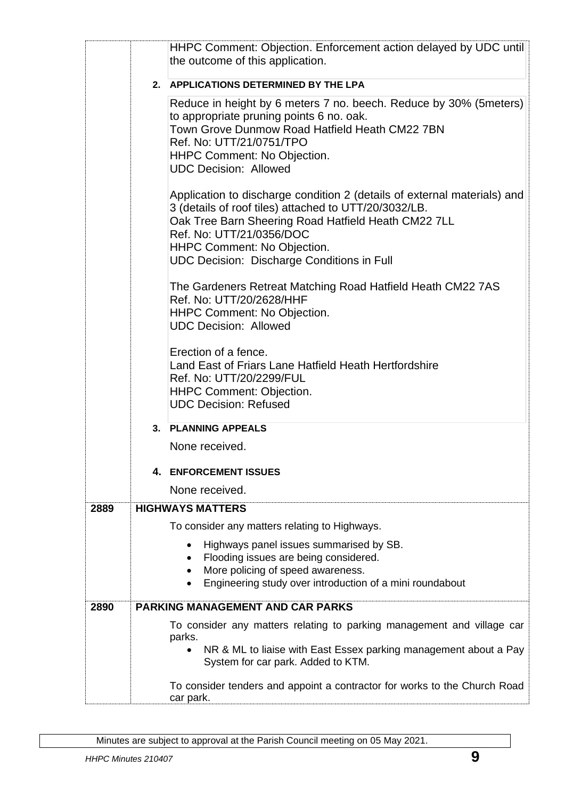|      |    | HHPC Comment: Objection. Enforcement action delayed by UDC until<br>the outcome of this application.                                                                                                                                                                                                            |
|------|----|-----------------------------------------------------------------------------------------------------------------------------------------------------------------------------------------------------------------------------------------------------------------------------------------------------------------|
|      |    | 2. APPLICATIONS DETERMINED BY THE LPA                                                                                                                                                                                                                                                                           |
|      |    | Reduce in height by 6 meters 7 no. beech. Reduce by 30% (5 meters)<br>to appropriate pruning points 6 no. oak.<br>Town Grove Dunmow Road Hatfield Heath CM22 7BN<br>Ref. No: UTT/21/0751/TPO<br><b>HHPC Comment: No Objection.</b><br><b>UDC Decision: Allowed</b>                                              |
|      |    | Application to discharge condition 2 (details of external materials) and<br>3 (details of roof tiles) attached to UTT/20/3032/LB.<br>Oak Tree Barn Sheering Road Hatfield Heath CM22 7LL<br>Ref. No: UTT/21/0356/DOC<br><b>HHPC Comment: No Objection.</b><br><b>UDC Decision: Discharge Conditions in Full</b> |
|      |    | The Gardeners Retreat Matching Road Hatfield Heath CM22 7AS<br>Ref. No: UTT/20/2628/HHF<br><b>HHPC Comment: No Objection.</b><br><b>UDC Decision: Allowed</b>                                                                                                                                                   |
|      |    | Erection of a fence.<br>Land East of Friars Lane Hatfield Heath Hertfordshire<br>Ref. No: UTT/20/2299/FUL<br><b>HHPC Comment: Objection.</b><br><b>UDC Decision: Refused</b>                                                                                                                                    |
|      | 3. | <b>PLANNING APPEALS</b>                                                                                                                                                                                                                                                                                         |
|      |    | None received.                                                                                                                                                                                                                                                                                                  |
|      | 4. | <b>ENFORCEMENT ISSUES</b>                                                                                                                                                                                                                                                                                       |
|      |    | None received.                                                                                                                                                                                                                                                                                                  |
| 2889 |    | <b>HIGHWAYS MATTERS</b>                                                                                                                                                                                                                                                                                         |
|      |    | To consider any matters relating to Highways.                                                                                                                                                                                                                                                                   |
|      |    | Highways panel issues summarised by SB.<br>Flooding issues are being considered.<br>More policing of speed awareness.<br>Engineering study over introduction of a mini roundabout                                                                                                                               |
| 2890 |    | <b>PARKING MANAGEMENT AND CAR PARKS</b>                                                                                                                                                                                                                                                                         |
|      |    | To consider any matters relating to parking management and village car<br>parks.<br>NR & ML to liaise with East Essex parking management about a Pay<br>System for car park. Added to KTM.                                                                                                                      |
|      |    | To consider tenders and appoint a contractor for works to the Church Road<br>car park.                                                                                                                                                                                                                          |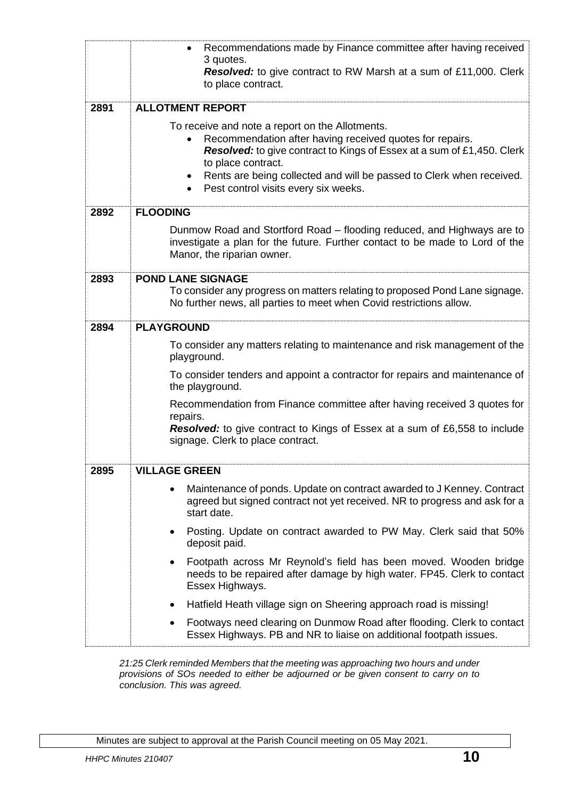|      | Recommendations made by Finance committee after having received<br>3 quotes.                                                                                                    |  |  |
|------|---------------------------------------------------------------------------------------------------------------------------------------------------------------------------------|--|--|
|      | <b>Resolved:</b> to give contract to RW Marsh at a sum of £11,000. Clerk<br>to place contract.                                                                                  |  |  |
| 2891 | <b>ALLOTMENT REPORT</b>                                                                                                                                                         |  |  |
|      | To receive and note a report on the Allotments.                                                                                                                                 |  |  |
|      | Recommendation after having received quotes for repairs.<br><b>Resolved:</b> to give contract to Kings of Essex at a sum of £1,450. Clerk                                       |  |  |
|      | to place contract.                                                                                                                                                              |  |  |
|      | Rents are being collected and will be passed to Clerk when received.<br>$\bullet$<br>Pest control visits every six weeks.<br>$\bullet$                                          |  |  |
|      |                                                                                                                                                                                 |  |  |
| 2892 | <b>FLOODING</b>                                                                                                                                                                 |  |  |
|      | Dunmow Road and Stortford Road - flooding reduced, and Highways are to<br>investigate a plan for the future. Further contact to be made to Lord of the                          |  |  |
|      | Manor, the riparian owner.                                                                                                                                                      |  |  |
| 2893 | <b>POND LANE SIGNAGE</b>                                                                                                                                                        |  |  |
|      | To consider any progress on matters relating to proposed Pond Lane signage.<br>No further news, all parties to meet when Covid restrictions allow.                              |  |  |
|      |                                                                                                                                                                                 |  |  |
| 2894 | <b>PLAYGROUND</b>                                                                                                                                                               |  |  |
|      | To consider any matters relating to maintenance and risk management of the<br>playground.                                                                                       |  |  |
|      | To consider tenders and appoint a contractor for repairs and maintenance of<br>the playground.                                                                                  |  |  |
|      | Recommendation from Finance committee after having received 3 quotes for                                                                                                        |  |  |
|      | repairs.<br><b>Resolved:</b> to give contract to Kings of Essex at a sum of £6,558 to include                                                                                   |  |  |
|      | signage. Clerk to place contract.                                                                                                                                               |  |  |
| 2895 | <b>VILLAGE GREEN</b>                                                                                                                                                            |  |  |
|      | Maintenance of ponds. Update on contract awarded to J Kenney. Contract<br>$\bullet$<br>agreed but signed contract not yet received. NR to progress and ask for a<br>start date. |  |  |
|      | Posting. Update on contract awarded to PW May. Clerk said that 50%<br>$\bullet$<br>deposit paid.                                                                                |  |  |
|      | Footpath across Mr Reynold's field has been moved. Wooden bridge<br>needs to be repaired after damage by high water. FP45. Clerk to contact<br>Essex Highways.                  |  |  |
|      | Hatfield Heath village sign on Sheering approach road is missing!<br>٠                                                                                                          |  |  |
|      | Footways need clearing on Dunmow Road after flooding. Clerk to contact<br>$\bullet$<br>Essex Highways. PB and NR to liaise on additional footpath issues.                       |  |  |

*21:25 Clerk reminded Members that the meeting was approaching two hours and under provisions of SOs needed to either be adjourned or be given consent to carry on to conclusion. This was agreed.*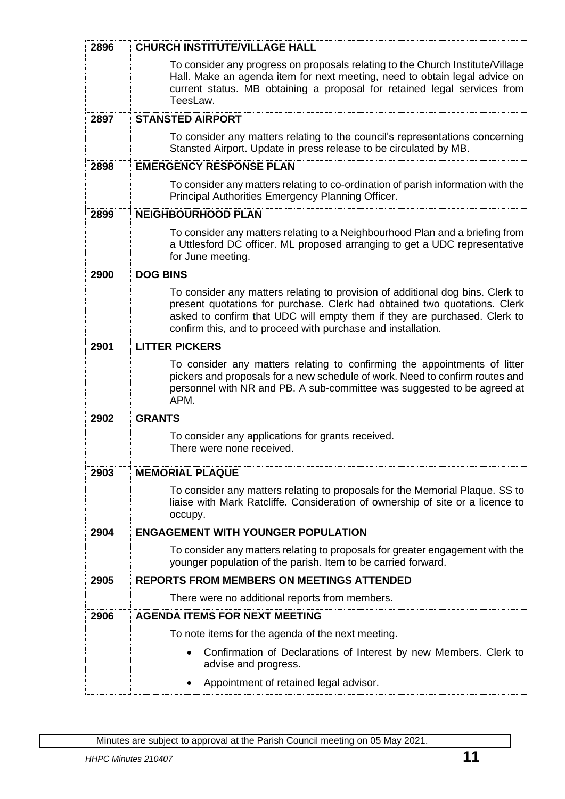| 2896 | <b>CHURCH INSTITUTE/VILLAGE HALL</b>                                                                                                                                                                                                                                                                     |  |  |
|------|----------------------------------------------------------------------------------------------------------------------------------------------------------------------------------------------------------------------------------------------------------------------------------------------------------|--|--|
|      | To consider any progress on proposals relating to the Church Institute/Village<br>Hall. Make an agenda item for next meeting, need to obtain legal advice on<br>current status. MB obtaining a proposal for retained legal services from<br>TeesLaw.                                                     |  |  |
| 2897 | <b>STANSTED AIRPORT</b>                                                                                                                                                                                                                                                                                  |  |  |
|      | To consider any matters relating to the council's representations concerning<br>Stansted Airport. Update in press release to be circulated by MB.                                                                                                                                                        |  |  |
| 2898 | <b>EMERGENCY RESPONSE PLAN</b>                                                                                                                                                                                                                                                                           |  |  |
|      | To consider any matters relating to co-ordination of parish information with the<br>Principal Authorities Emergency Planning Officer.                                                                                                                                                                    |  |  |
| 2899 | <b>NEIGHBOURHOOD PLAN</b>                                                                                                                                                                                                                                                                                |  |  |
|      | To consider any matters relating to a Neighbourhood Plan and a briefing from<br>a Uttlesford DC officer. ML proposed arranging to get a UDC representative<br>for June meeting.                                                                                                                          |  |  |
| 2900 | <b>DOG BINS</b>                                                                                                                                                                                                                                                                                          |  |  |
|      | To consider any matters relating to provision of additional dog bins. Clerk to<br>present quotations for purchase. Clerk had obtained two quotations. Clerk<br>asked to confirm that UDC will empty them if they are purchased. Clerk to<br>confirm this, and to proceed with purchase and installation. |  |  |
| 2901 | <b>LITTER PICKERS</b>                                                                                                                                                                                                                                                                                    |  |  |
|      | To consider any matters relating to confirming the appointments of litter<br>pickers and proposals for a new schedule of work. Need to confirm routes and<br>personnel with NR and PB. A sub-committee was suggested to be agreed at<br>APM.                                                             |  |  |
| 2902 | <b>GRANTS</b>                                                                                                                                                                                                                                                                                            |  |  |
|      | To consider any applications for grants received.<br>There were none received.                                                                                                                                                                                                                           |  |  |
| 2903 | <b>MEMORIAL PLAQUE</b>                                                                                                                                                                                                                                                                                   |  |  |
|      | To consider any matters relating to proposals for the Memorial Plaque. SS to<br>liaise with Mark Ratcliffe. Consideration of ownership of site or a licence to<br>occupy.                                                                                                                                |  |  |
| 2904 | <b>ENGAGEMENT WITH YOUNGER POPULATION</b>                                                                                                                                                                                                                                                                |  |  |
|      | To consider any matters relating to proposals for greater engagement with the<br>younger population of the parish. Item to be carried forward.                                                                                                                                                           |  |  |
| 2905 | <b>REPORTS FROM MEMBERS ON MEETINGS ATTENDED</b>                                                                                                                                                                                                                                                         |  |  |
|      | There were no additional reports from members.                                                                                                                                                                                                                                                           |  |  |
| 2906 | <b>AGENDA ITEMS FOR NEXT MEETING</b>                                                                                                                                                                                                                                                                     |  |  |
|      | To note items for the agenda of the next meeting.                                                                                                                                                                                                                                                        |  |  |
|      | Confirmation of Declarations of Interest by new Members. Clerk to<br>$\bullet$<br>advise and progress.                                                                                                                                                                                                   |  |  |
|      | Appointment of retained legal advisor.                                                                                                                                                                                                                                                                   |  |  |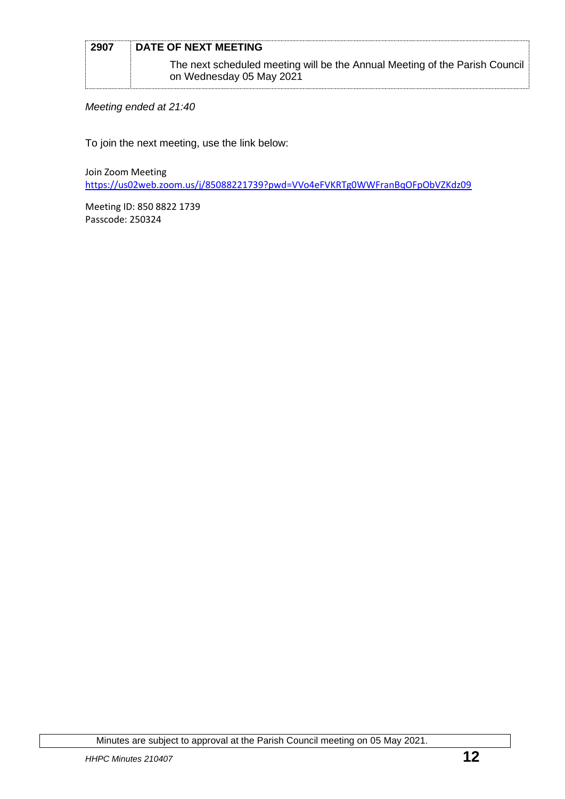| 2907 | DATE OF NEXT MEETING                                                                                    |
|------|---------------------------------------------------------------------------------------------------------|
|      | The next scheduled meeting will be the Annual Meeting of the Parish Council<br>on Wednesday 05 May 2021 |

*Meeting ended at 21:40*

To join the next meeting, use the link below:

Join Zoom Meeting <https://us02web.zoom.us/j/85088221739?pwd=VVo4eFVKRTg0WWFranBqOFpObVZKdz09>

Meeting ID: 850 8822 1739 Passcode: 250324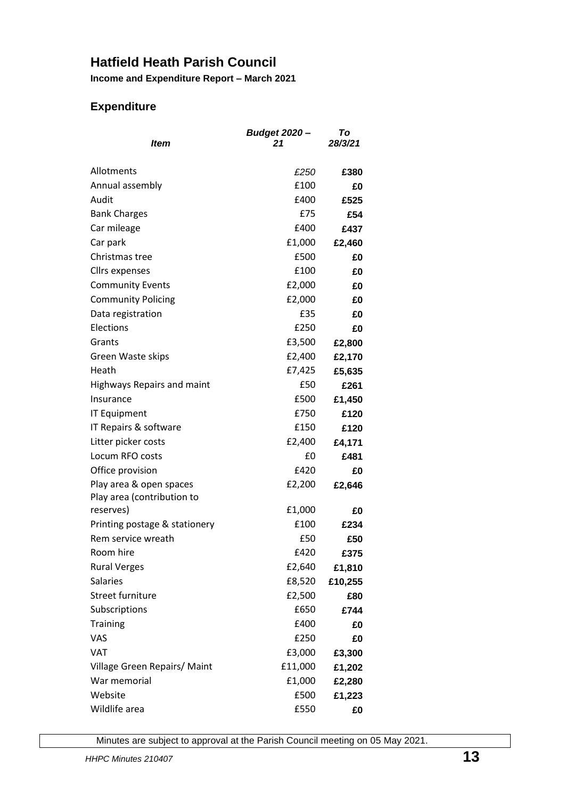## **Hatfield Heath Parish Council**

**Income and Expenditure Report – March 2021**

### **Expenditure**

| Item                                                  | <b>Budget 2020-</b><br>21 | To<br>28/3/21 |
|-------------------------------------------------------|---------------------------|---------------|
| Allotments                                            | £250                      | £380          |
| Annual assembly                                       | £100                      | £0            |
| Audit                                                 | £400                      | £525          |
| <b>Bank Charges</b>                                   | £75                       | £54           |
| Car mileage                                           | £400                      | £437          |
| Car park                                              | £1,000                    | £2,460        |
| Christmas tree                                        | £500                      | £0            |
| Cllrs expenses                                        | £100                      | £0            |
| <b>Community Events</b>                               | £2,000                    | £0            |
| <b>Community Policing</b>                             | £2,000                    | £0            |
| Data registration                                     | £35                       | £0            |
| Elections                                             | £250                      | £0            |
| Grants                                                | £3,500                    | £2,800        |
| Green Waste skips                                     | £2,400                    | £2,170        |
| Heath                                                 | £7,425                    | £5,635        |
| Highways Repairs and maint                            | £50                       | £261          |
| Insurance                                             | £500                      | £1,450        |
| <b>IT Equipment</b>                                   | £750                      | £120          |
| IT Repairs & software                                 | £150                      | £120          |
| Litter picker costs                                   | £2,400                    | £4,171        |
| Locum RFO costs                                       | £0                        | £481          |
| Office provision                                      | £420                      | £0            |
| Play area & open spaces<br>Play area (contribution to | £2,200                    | £2,646        |
| reserves)                                             | £1,000                    | £0            |
| Printing postage & stationery                         | £100                      | £234          |
| Rem service wreath                                    | £50                       | £50           |
| Room hire                                             | £420                      | £375          |
| <b>Rural Verges</b>                                   | £2,640                    | £1,810        |
| <b>Salaries</b>                                       | £8,520                    | £10,255       |
| Street furniture                                      | £2,500                    | £80           |
| Subscriptions                                         | £650                      | £744          |
| <b>Training</b>                                       | £400                      | £0            |
| VAS                                                   | £250                      | £0            |
| VAT                                                   | £3,000                    | £3,300        |
| Village Green Repairs/ Maint                          | £11,000                   | £1,202        |
| War memorial                                          | £1,000                    | £2,280        |
| Website                                               | £500                      | £1,223        |
| Wildlife area                                         | £550                      | £0            |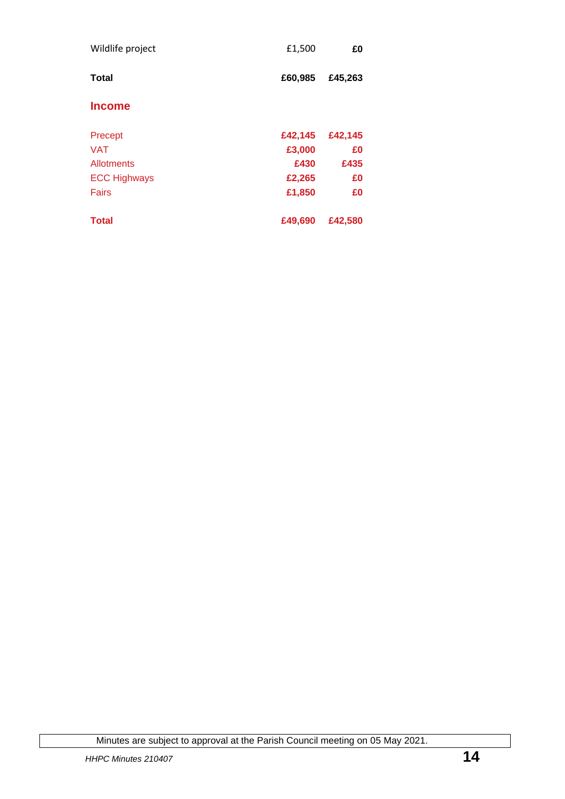| Wildlife project    | £1,500  | £0      |
|---------------------|---------|---------|
| <b>Total</b>        | £60,985 | £45,263 |
| <b>Income</b>       |         |         |
| Precept             | £42,145 | £42,145 |
| <b>VAT</b>          | £3,000  | £0      |
| <b>Allotments</b>   | £430    | £435    |
| <b>ECC Highways</b> | £2,265  | £0      |
| Fairs               | £1,850  | £0      |
| <b>Total</b>        | £49,690 | £42,580 |